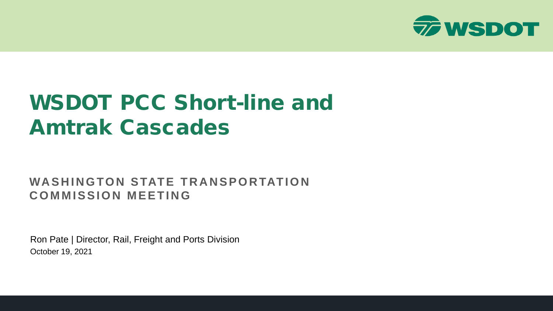

# WSDOT PCC Short-line and Amtrak Cascades

#### **WASHINGTON STATE TRANSPORTATION COMMISSION MEETING**

Ron Pate | Director, Rail, Freight and Ports Division October 19, 2021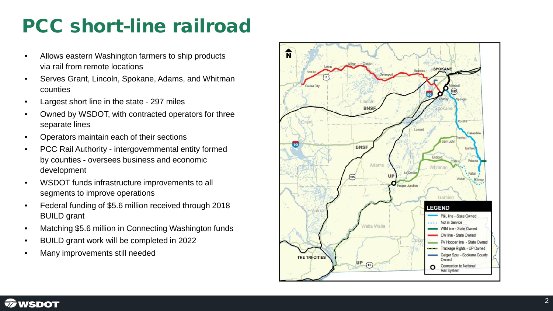### PCC short -line railroad

- Allows eastern Washington farmers to ship products via rail from remote locations
- Serves Grant, Lincoln, Spokane, Adams, and Whitman counties
- 
- Largest short line in the state 297 miles<br>• Owned by WSDOT, with contracted operators for three separate lines
- Operators maintain each of their sections
- PCC Rail Authority intergovernmental entity formed by counties - oversees business and economic development
- WSDOT funds infrastructure improvements to all segments to improve operations
- Federal funding of \$5.6 million received through 2018 BUILD grant
- Matching \$5.6 million in Connecting Washington funds
- BUILD grant work will be completed in 2022
- Many improvements still needed



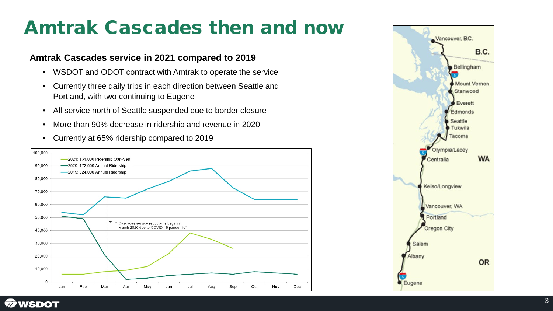#### Amtrak Cascades then and now

#### **Amtrak Cascades service in 2021 compared to 2019**

- WSDOT and ODOT contract with Amtrak to operate the service
- Currently three daily trips in each direction between Seattle and Portland, with two continuing to Eugene
- All service north of Seattle suspended due to border closure
- More than 90% decrease in ridership and revenue in 2020
- Currently at 65% ridership compared to 2019



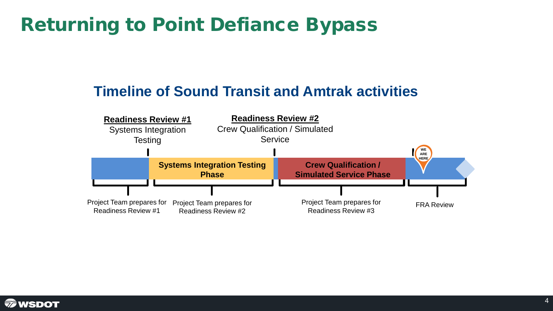### Returning to Point Defiance Bypass

#### **Timeline of Sound Transit and Amtrak activities**



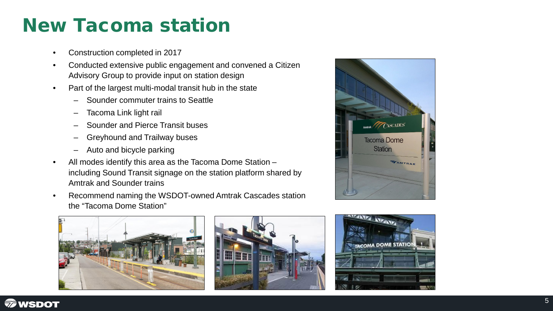#### New Tacoma station

- Construction completed in 2017
- Conducted extensive public engagement and convened a Citizen Advisory Group to provide input on station design
- Part of the largest multi-modal transit hub in the state
	- Sounder commuter trains to Seattle
	- Tacoma Link light rail
	- Sounder and Pierce Transit buses
	- Greyhound and Trailway buses
	- Auto and bicycle parking
- All modes identify this area as the Tacoma Dome Station including Sound Transit signage on the station platform shared by Amtrak and Sounder trains
- Recommend naming the WSDOT-owned Amtrak Cascades station the "Tacoma Dome Station"







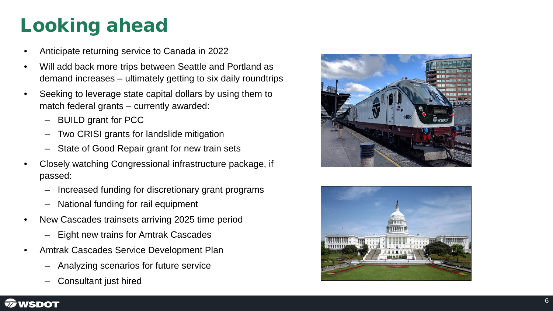# Looking ahead

- Anticipate returning service to Canada in 2022
- Will add back more trips between Seattle and Portland as demand increases – ultimately getting to six daily roundtrips
- Seeking to leverage state capital dollars by using them to match federal grants – currently awarded:
	- BUILD grant for PCC
	- Two CRISI grants for landslide mitigation
	- State of Good Repair grant for new train sets
- Closely watching Congressional infrastructure package, if passed:
	- Increased funding for discretionary grant programs
	- National funding for rail equipment
- New Cascades trainsets arriving 2025 time period
	- Eight new trains for Amtrak Cascades
- Amtrak Cascades Service Development Plan
	- Analyzing scenarios for future service
	- Consultant just hired